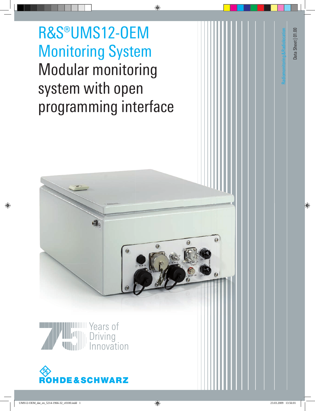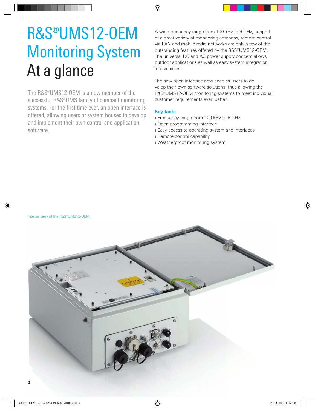# R&S®UMS12-OEM Monitoring System At a glance

The R&S®UMS12-OEM is a new member of the successful R&S®UMS family of compact monitoring systems. For the first time ever, an open interface is offered, allowing users or system houses to develop and implement their own control and application software.

A wide frequency range from 100 kHz to 6 GHz, support of a great variety of monitoring antennas, remote control via LAN and mobile radio networks are only a few of the outstanding features offered by the R&S®UMS12-OEM. The universal DC and AC power supply concept allows outdoor applications as well as easy system integration into vehicles.

The new open interface now enables users to develop their own software solutions, thus allowing the R&S®UMS12-OEM monitoring systems to meet individual customer requirements even better.

### **Key facts**

- **I** Frequency range from 100 kHz to 6 GHz
- I Open programming interface
- **I** Easy access to operating system and interfaces
- **I** Remote control capability
- I Weatherproof monitoring system

Interior view of the R&S®UMS12-OEM.

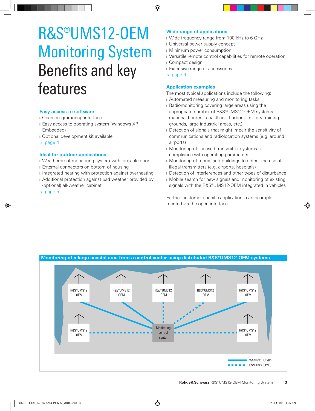# R&S®UMS12-OEM Monitoring System Benefits and key features

#### **Easy access to software**

- **I** Open programming interface
- **I** Easy access to operating system (Windows XP) Embedded)
- **I** Optional development kit available
- ▷ page 4

#### **Ideal for outdoor applications**

- I Weatherproof monitoring system with lockable door
- **I** External connectors on bottom of housing
- **I** Integrated heating with protection against overheating
- **I** Additional protection against bad weather provided by (optional) all-weather cabinet
- ▷ page 5

## **Wide range of applications**

- I Wide frequency range from 100 kHz to 6 GHz
- I Universal power supply concept
- I Minimum power consumption
- I Versatile remote control capabilities for remote operation
- **I** Compact design
- **I** Extensive range of accessories
- ▷ page 6

#### **Application examples**

- The most typical applications include the following:
- **I** Automated measuring and monitoring tasks
- **I** Radiomonitoring covering large areas using the appropriate number of R&S®UMS12-OEM systems (national borders, coastlines, harbors, military training grounds, large industrial areas, etc.)
- Detection of signals that might impair the sensitivity of communications and radiolocation systems (e.g. around airports)
- **I** Monitoring of licensed transmitter systems for compliance with operating parameters
- I Monitoring of rooms and buildings to detect the use of illegal transmitters (e.g. airports, hospitals)
- **I** Detection of interferences and other types of disturbance
- I Mobile search for new signals and monitoring of existing signals with the R&S®UMS12-OEM integrated in vehicles

Further customer-specific applications can be implemented via the open interface.

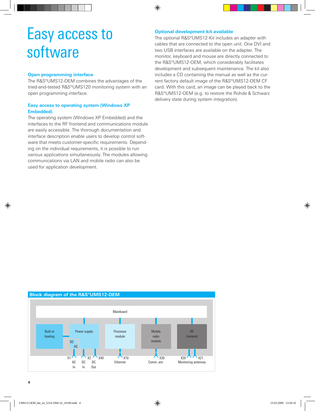# Easy access to software

#### **Open programming interface**

The R&S®UMS12-OEM combines the advantages of the tried-and-tested R&S®UMS120 monitoring system with an open programming interface.

#### **Easy access to operating system (Windows XP Embedded)**

The operating system (Windows XP Embedded) and the interfaces to the RF frontend and communications module are easily accessible. The thorough documentation and interface description enable users to develop control software that meets customer-specific requirements. Depending on the individual requirements, it is possible to run various applications simultaneously. The modules allowing communications via LAN and mobile radio can also be used for application development.

### **Optional development kit available**

The optional R&S®UMS12-Kit includes an adapter with cables that are connected to the open unit. One DVI and two USB interfaces are available on the adapter. The monitor, keyboard and mouse are directly connected to the R&S®UMS12-OEM, which considerably facilitates development and subsequent maintenance. The kit also includes a CD containing the manual as well as the current factory default image of the R&S®UMS12-OEM CF card. With this card, an image can be played back to the R&S®UMS12-OEM (e.g. to restore the Rohde & Schwarz delivery state during system integration).

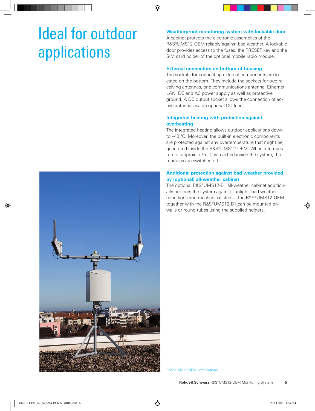# Ideal for outdoor applications

### **Weatherproof monitoring system with lockable door**

A cabinet protects the electronic assemblies of the R&S®UMS12-OEM reliably against bad weather. A lockable door provides access to the fuses, the PRESET key and the SIM card holder of the optional mobile radio module.

### **External connectors on bottom of housing**

The sockets for connecting external components are located on the bottom. They include the sockets for two receiving antennas, one communications antenna, Ethernet LAN, DC and AC power supply as well as protective ground. A DC output socket allows the connection of active antennas via an optional DC feed.

### **Integrated heating with protection against overheating**

The integrated heating allows outdoor applications down to –40 °C. Moreover, the built-in electronic components are protected against any overtemperature that might be generated inside the R&S®UMS12-OEM. When a temperature of approx. +75 °C is reached inside the system, the modules are switched off.

#### **Additional protection against bad weather provided by (optional) all-weather cabinet**

The optional R&S®UMS12-B1 all-weather cabinet additionally protects the system against sunlight, bad weather conditions and mechanical stress. The R&S®UMS12-OEM together with the R&S®UMS12-B1 can be mounted on walls or round tubes using the supplied holders.



R&S®UMS12-OEM with options.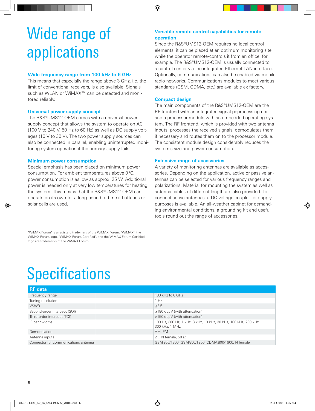# Wide range of applications

## **Wide frequency range from 100 kHz to 6 GHz**

This means that especially the range above 3 GHz, i.e. the limit of conventional receivers, is also available. Signals such as WLAN or WiMAX™ can be detected and monitored reliably.

## **Universal power supply concept**

The R&S®UMS12-OEM comes with a universal power supply concept that allows the system to operate on AC (100 V to 240 V, 50 Hz to 60 Hz) as well as DC supply voltages (10 V to 30 V). The two power supply sources can also be connected in parallel, enabling uninterrupted monitoring system operation if the primary supply fails.

### **Minimum power consumption**

Special emphasis has been placed on minimum power consumption. For ambient temperatures above 0°C, power consumption is as low as approx. 25 W. Additional power is needed only at very low temperatures for heating the system. This means that the R&S®UMS12-OEM can operate on its own for a long period of time if batteries or solar cells are used.

"WiMAX Forum" is a registerd trademark of the WiMAX Forum. "WiMAX", the WiMAX Forum logo, "WiMAX Forum Certified", and the WiMAX Forum Certified logo are trademarks of the WiMAX Forum.

## **Versatile remote control capabilities for remote operation**

Since the R&S®UMS12-OEM requires no local control elements, it can be placed at an optimum monitoring site while the operator remote-controls it from an office, for example. The R&S®UMS12-OEM is usually connected to a control center via the integrated Ethernet LAN interface. Optionally, communications can also be enabled via mobile radio networks. Communications modules to meet various standards (GSM, CDMA, etc.) are available ex factory.

# **Compact design**

The main components of the R&S®UMS12-OEM are the RF frontend with an integrated signal peprocessing unit and a processor module with an embedded operating system. The RF frontend, which is provided with two antenna inputs, processes the received signals, demodulates them if necessary and routes them on to the processor module. The consistent module design considerably reduces the system's size and power consumption.

## **Extensive range of accessories**

A variety of monitoring antennas are available as accessories. Depending on the application, active or passive antennas can be selected for various frequency ranges and polarizations. Material for mounting the system as well as antenna cables of different length are also provided. To connect active antennas, a DC voltage coupler for supply purposes is available. An all-weather cabinet for demanding environmental conditions, a grounding kit and useful tools round out the range of accessories.

# **Specifications**

| <b>RF</b> data                       |                                                                                   |
|--------------------------------------|-----------------------------------------------------------------------------------|
| Frequency range                      | 100 kHz to 6 GHz                                                                  |
| Tuning resolution                    | 1 Hz                                                                              |
| <b>VSWR</b>                          | $\leq 2.5$                                                                        |
| Second-order intercept (SOI)         | $\geq$ 180 dbµV (with attenuation)                                                |
| Third-order intercept (TOI)          | $\geq$ 150 dbuV (with attenuation)                                                |
| IF bandwidths                        | 100 Hz, 300 Hz, 1 kHz, 3 kHz, 10 kHz, 30 kHz, 100 kHz, 200 kHz,<br>300 kHz, 1 MHz |
| Demodulation                         | AM, FM                                                                            |
| Antenna inputs                       | $2 \times N$ female, 50 $\Omega$                                                  |
| Connector for communications antenna | GSM900/1800, GSM850/1900, CDMA800/1900, N female                                  |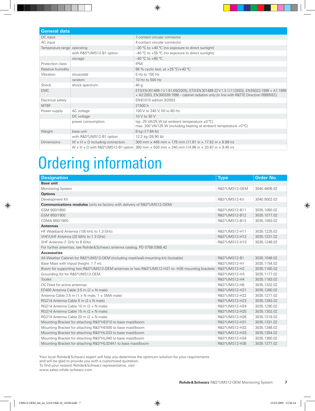| <b>General data</b>         |                                            |                                                                                                                                                                                                |  |
|-----------------------------|--------------------------------------------|------------------------------------------------------------------------------------------------------------------------------------------------------------------------------------------------|--|
| DC input                    |                                            | 7-contact circular connector                                                                                                                                                                   |  |
| AC input                    |                                            | 4-contact circular connector                                                                                                                                                                   |  |
| Temperature range operating |                                            | -30 °C to +40 °C (no exposure to direct sunlight)                                                                                                                                              |  |
|                             | with R&S®UMS12-B1 option                   | $-40$ °C to $+55$ °C (no exposure to direct sunlight)                                                                                                                                          |  |
|                             | storage                                    | $-40$ °C to $+80$ °C                                                                                                                                                                           |  |
| Protection class            |                                            | <b>IP54</b>                                                                                                                                                                                    |  |
| Relative humidity           |                                            | 95 % cyclic test, at +25 °C/+40 °C                                                                                                                                                             |  |
| Vibration                   | sinusoidal                                 | 5 Hz to 150 Hz                                                                                                                                                                                 |  |
|                             | random                                     | 10 Hz to 500 Hz                                                                                                                                                                                |  |
| Shock                       | shock spectrum                             | 40 <sub>g</sub>                                                                                                                                                                                |  |
| <b>FMC</b>                  |                                            | ETSI EN 301489-1 V 1.61 (09/2005), ETSI EN 301489-22 V 1.3.1 (11/2003), EN 55022:1998 + A1:1999<br>+ A2:2003, EN 300339:1998 - cabinet radiation only (in line with R&TTE Directive 1999/5/EC) |  |
| Electrical safety           |                                            | EN 61010 edition 3/2003                                                                                                                                                                        |  |
| <b>MTBF</b>                 |                                            | 21500 h                                                                                                                                                                                        |  |
| Power supply                | AC voltage                                 | 100 V to 240 V, 50 to 60 Hz                                                                                                                                                                    |  |
|                             | DC voltage                                 | 10 V to 30 V                                                                                                                                                                                   |  |
|                             | power consumption                          | typ. 25 VA/25 W (at ambient temperature $\geq 0^{\circ}C$ )<br>max. 200 VA/125 W (including heating at ambient temperature $< 0$ °C)                                                           |  |
| Weight                      | base unit                                  | 8 kg (17.64 lb)                                                                                                                                                                                |  |
|                             | with R&S®UMS12-B1 option                   | 12.2 kg (26.90 lb)                                                                                                                                                                             |  |
| <b>Dimensions</b>           | $W \times H \times D$ including connectors | 300 mm $\times$ 445 mm $\times$ 175 mm (11.81 in $\times$ 17.52 in $\times$ 6.89 in)                                                                                                           |  |
|                             |                                            | W $\times$ H $\times$ D with R&S°UMS12-B1 option 380 mm $\times$ 530 mm $\times$ 240 mm (14.96 in $\times$ 20.87 in $\times$ 9.45 in)                                                          |  |

# Ordering information

| <b>Designation</b>                                                                            | <b>Type</b>   | <b>Order No.</b> |
|-----------------------------------------------------------------------------------------------|---------------|------------------|
| <b>Base unit</b>                                                                              |               |                  |
| Monitoring System                                                                             | R&S®UMS12-OEM | 3040.4806.02     |
| <b>Options</b>                                                                                |               |                  |
| Development Kit                                                                               | R&S®UMS12-Kit | 3040.5002.02     |
| Communications modules (only ex factory with delivery of R&S®UMS12-OEM)                       |               |                  |
| GSM 900/1800                                                                                  | R&S®UMS12-B11 | 3035.1060.02     |
| GSM 850/1900                                                                                  | R&S®UMS12-B12 | 3035.1077.02     |
| CDMA 800/1900                                                                                 | R&S®UMS12-B13 | 3035.1083.02     |
| <b>Antennas</b>                                                                               |               |                  |
| HF Wideband Antenna (100 kHz to 1.3 GHz)                                                      | R&S®UMS12-H11 | 3035.1225.02     |
| VHF/UHF Antenna (20 MHz to 1.3 GHz)                                                           | R&S®UMS12-H12 | 3035.1231.02     |
| SHF Antenna (1 GHz to 6 GHz)                                                                  | R&S®UMS12-H13 | 3035.1248.02     |
| For further antennas, see Rohde & Schwarz antenna catalog, PD 0758.0368.42                    |               |                  |
| <b>Accessories</b>                                                                            |               |                  |
| All-Weather Cabinet for R&S®UMS12-OEM (including mast/wall-mounting kit) (lockable)           | R&S®UMS12-B1  | 3035.1048.02     |
| Base Mast with tripod (height: 1.7 m)                                                         | R&S®UMS12-H1  | 3035.1154.02     |
| Boom for supporting two R&S®UMS12-OEM antennas or two R&S®UMS12-H31 to -H35 mounting brackets | R&S®UMS12-H2  | 3035.1160.02     |
| Grounding Kit for R&S®UMS12-OEM                                                               | R&S®UMS12-H3  | 3035.1177.02     |
| Toolkit                                                                                       | R&S®UMS12-H4  | 3035.1183.02     |
| DC Feed for active antennas                                                                   | R&S®UMS12-H6  | 3035.1202.02     |
| EF400 Antenna Cable 3.5 m $(2 \times N$ male)                                                 | R&S®UMS12-H21 | 3035.1260.02     |
| Antenna Cable 3.5 m $(1 \times N$ male, $1 \times SMA$ male)                                  | R&S®UMS12-H22 | 3035.1277.02     |
| RG214 Antenna Cable 5 m (2 x N male)                                                          | R&S®UMS12-H23 | 3035.1283.02     |
| RG214 Antenna Cable 10 m (2 x N male)                                                         | R&S®UMS12-H24 | 3035.1290.02     |
| RG214 Antenna Cable 15 m (2 x N male)                                                         | R&S®UMS12-H25 | 3035.1302.02     |
| RG214 Antenna Cable 20 m (2 x N male)                                                         | R&S®UMS12-H26 | 3035.1319.02     |
| Mounting Bracket for attaching R&S®HE010 to base mast/boom                                    | R&S®UMS12-H31 | 3035.1331.02     |
| Mounting Bracket for attaching R&S®HE500 to base mast/boom                                    | R&S®UMS12-H32 | 3035.1348.02     |
| Mounting Bracket for attaching R&S®HL033 to base mast/boom                                    | R&S®UMS12-H33 | 3035.1354.02     |
| Mounting Bracket for attaching R&S®HL040 to base mast/boom                                    | R&S®UMS12-H34 | 3035.1360.02     |
| Mounting Bracket for attaching R&S®HL024A1 to base mast/boom                                  | R&S®UMS12-H35 | 3035.1377.02     |

Your local Rohde&Schwarz expert will help you determine the optimum solution for your requirements

and will be glad to provide you with a customized quotation.

To find your nearest Rohde&Schwarz representative, visit www.sales.rohde-schwarz.com